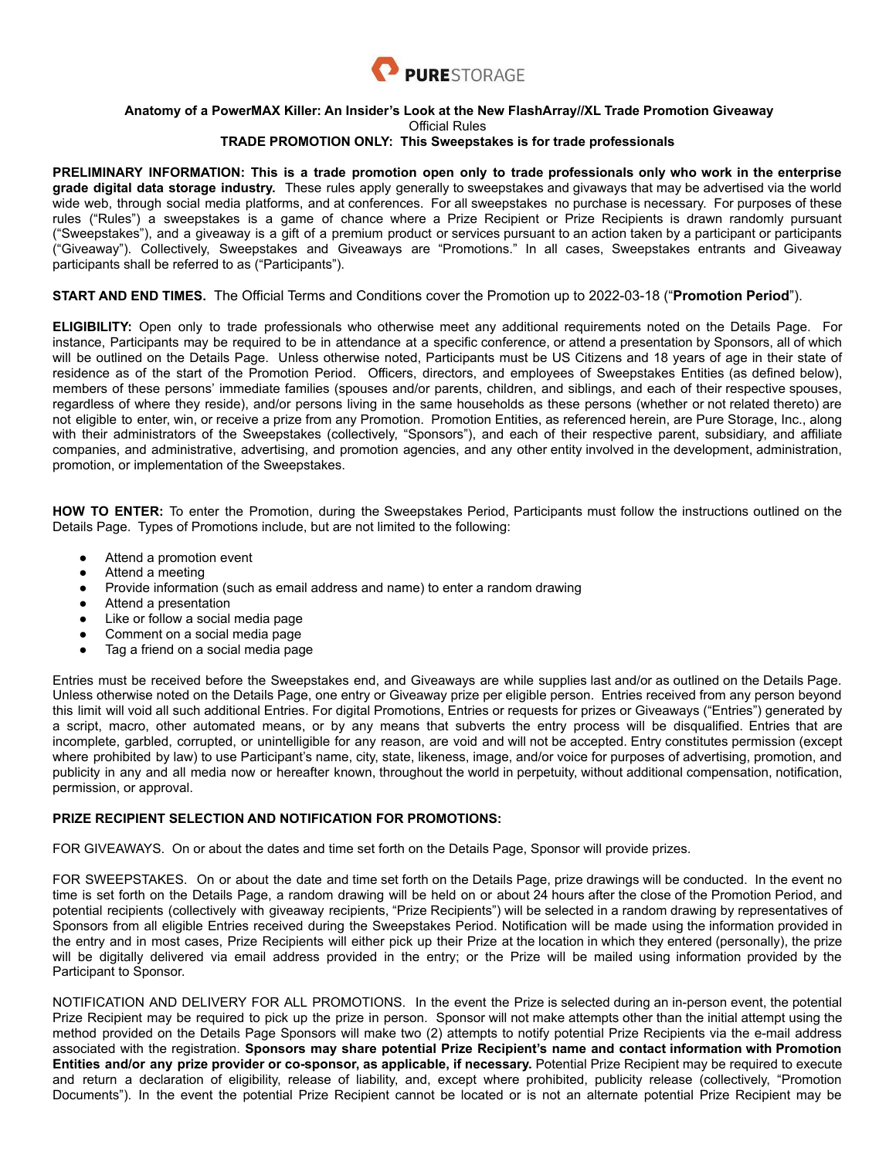

## **Anatomy of a PowerMAX Killer: An Insider's Look at the New FlashArray//XL Trade Promotion Giveaway** Official Rules

## **TRADE PROMOTION ONLY: This Sweepstakes is for trade professionals**

PRELIMINARY INFORMATION: This is a trade promotion open only to trade professionals only who work in the enterprise **grade digital data storage industry.** These rules apply generally to sweepstakes and givaways that may be advertised via the world wide web, through social media platforms, and at conferences. For all sweepstakes no purchase is necessary. For purposes of these rules ("Rules") a sweepstakes is a game of chance where a Prize Recipient or Prize Recipients is drawn randomly pursuant ("Sweepstakes"), and a giveaway is a gift of a premium product or services pursuant to an action taken by a participant or participants ("Giveaway"). Collectively, Sweepstakes and Giveaways are "Promotions." In all cases, Sweepstakes entrants and Giveaway participants shall be referred to as ("Participants").

## **START AND END TIMES.** The Official Terms and Conditions cover the Promotion up to 2022-03-18 ("**Promotion Period**").

**ELIGIBILITY:** Open only to trade professionals who otherwise meet any additional requirements noted on the Details Page. For instance, Participants may be required to be in attendance at a specific conference, or attend a presentation by Sponsors, all of which will be outlined on the Details Page. Unless otherwise noted, Participants must be US Citizens and 18 years of age in their state of residence as of the start of the Promotion Period. Officers, directors, and employees of Sweepstakes Entities (as defined below), members of these persons' immediate families (spouses and/or parents, children, and siblings, and each of their respective spouses, regardless of where they reside), and/or persons living in the same households as these persons (whether or not related thereto) are not eligible to enter, win, or receive a prize from any Promotion. Promotion Entities, as referenced herein, are Pure Storage, Inc., along with their administrators of the Sweepstakes (collectively, "Sponsors"), and each of their respective parent, subsidiary, and affiliate companies, and administrative, advertising, and promotion agencies, and any other entity involved in the development, administration, promotion, or implementation of the Sweepstakes.

**HOW TO ENTER:** To enter the Promotion, during the Sweepstakes Period, Participants must follow the instructions outlined on the Details Page. Types of Promotions include, but are not limited to the following:

- Attend a promotion event
- Attend a meeting
- Provide information (such as email address and name) to enter a random drawing
- Attend a presentation
- Like or follow a social media page
- Comment on a social media page
- Tag a friend on a social media page

Entries must be received before the Sweepstakes end, and Giveaways are while supplies last and/or as outlined on the Details Page. Unless otherwise noted on the Details Page, one entry or Giveaway prize per eligible person. Entries received from any person beyond this limit will void all such additional Entries. For digital Promotions, Entries or requests for prizes or Giveaways ("Entries") generated by a script, macro, other automated means, or by any means that subverts the entry process will be disqualified. Entries that are incomplete, garbled, corrupted, or unintelligible for any reason, are void and will not be accepted. Entry constitutes permission (except where prohibited by law) to use Participant's name, city, state, likeness, image, and/or voice for purposes of advertising, promotion, and publicity in any and all media now or hereafter known, throughout the world in perpetuity, without additional compensation, notification, permission, or approval.

## **PRIZE RECIPIENT SELECTION AND NOTIFICATION FOR PROMOTIONS:**

FOR GIVEAWAYS. On or about the dates and time set forth on the Details Page, Sponsor will provide prizes.

FOR SWEEPSTAKES. On or about the date and time set forth on the Details Page, prize drawings will be conducted. In the event no time is set forth on the Details Page, a random drawing will be held on or about 24 hours after the close of the Promotion Period, and potential recipients (collectively with giveaway recipients, "Prize Recipients") will be selected in a random drawing by representatives of Sponsors from all eligible Entries received during the Sweepstakes Period. Notification will be made using the information provided in the entry and in most cases, Prize Recipients will either pick up their Prize at the location in which they entered (personally), the prize will be digitally delivered via email address provided in the entry; or the Prize will be mailed using information provided by the Participant to Sponsor.

NOTIFICATION AND DELIVERY FOR ALL PROMOTIONS. In the event the Prize is selected during an in-person event, the potential Prize Recipient may be required to pick up the prize in person. Sponsor will not make attempts other than the initial attempt using the method provided on the Details Page Sponsors will make two (2) attempts to notify potential Prize Recipients via the e-mail address associated with the registration. **Sponsors may share potential Prize Recipient's name and contact information with Promotion Entities and/or any prize provider or co-sponsor, as applicable, if necessary.** Potential Prize Recipient may be required to execute and return a declaration of eligibility, release of liability, and, except where prohibited, publicity release (collectively, "Promotion Documents"). In the event the potential Prize Recipient cannot be located or is not an alternate potential Prize Recipient may be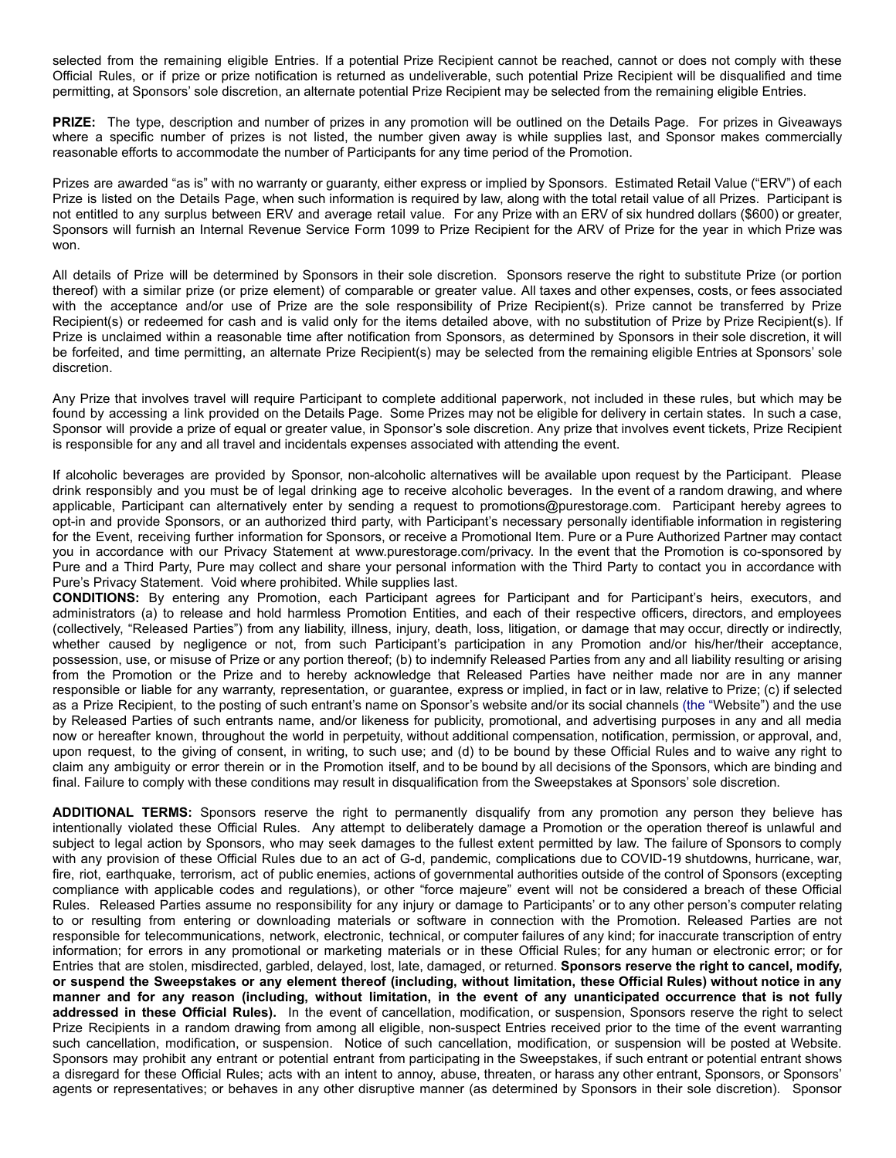selected from the remaining eligible Entries. If a potential Prize Recipient cannot be reached, cannot or does not comply with these Official Rules, or if prize or prize notification is returned as undeliverable, such potential Prize Recipient will be disqualified and time permitting, at Sponsors' sole discretion, an alternate potential Prize Recipient may be selected from the remaining eligible Entries.

**PRIZE:** The type, description and number of prizes in any promotion will be outlined on the Details Page. For prizes in Giveaways where a specific number of prizes is not listed, the number given away is while supplies last, and Sponsor makes commercially reasonable efforts to accommodate the number of Participants for any time period of the Promotion.

Prizes are awarded "as is" with no warranty or guaranty, either express or implied by Sponsors. Estimated Retail Value ("ERV") of each Prize is listed on the Details Page, when such information is required by law, along with the total retail value of all Prizes. Participant is not entitled to any surplus between ERV and average retail value. For any Prize with an ERV of six hundred dollars (\$600) or greater, Sponsors will furnish an Internal Revenue Service Form 1099 to Prize Recipient for the ARV of Prize for the year in which Prize was won.

All details of Prize will be determined by Sponsors in their sole discretion. Sponsors reserve the right to substitute Prize (or portion thereof) with a similar prize (or prize element) of comparable or greater value. All taxes and other expenses, costs, or fees associated with the acceptance and/or use of Prize are the sole responsibility of Prize Recipient(s). Prize cannot be transferred by Prize Recipient(s) or redeemed for cash and is valid only for the items detailed above, with no substitution of Prize by Prize Recipient(s). If Prize is unclaimed within a reasonable time after notification from Sponsors, as determined by Sponsors in their sole discretion, it will be forfeited, and time permitting, an alternate Prize Recipient(s) may be selected from the remaining eligible Entries at Sponsors' sole discretion.

Any Prize that involves travel will require Participant to complete additional paperwork, not included in these rules, but which may be found by accessing a link provided on the Details Page. Some Prizes may not be eligible for delivery in certain states. In such a case, Sponsor will provide a prize of equal or greater value, in Sponsor's sole discretion. Any prize that involves event tickets, Prize Recipient is responsible for any and all travel and incidentals expenses associated with attending the event.

If alcoholic beverages are provided by Sponsor, non-alcoholic alternatives will be available upon request by the Participant. Please drink responsibly and you must be of legal drinking age to receive alcoholic beverages. In the event of a random drawing, and where applicable, Participant can alternatively enter by sending a request to promotions@purestorage.com. Participant hereby agrees to opt-in and provide Sponsors, or an authorized third party, with Participant's necessary personally identifiable information in registering for the Event, receiving further information for Sponsors, or receive a Promotional Item. Pure or a Pure Authorized Partner may contact you in accordance with our Privacy Statement at www.purestorage.com/privacy. In the event that the Promotion is co-sponsored by Pure and a Third Party, Pure may collect and share your personal information with the Third Party to contact you in accordance with Pure's Privacy Statement. Void where prohibited. While supplies last.

**CONDITIONS:** By entering any Promotion, each Participant agrees for Participant and for Participant's heirs, executors, and administrators (a) to release and hold harmless Promotion Entities, and each of their respective officers, directors, and employees (collectively, "Released Parties") from any liability, illness, injury, death, loss, litigation, or damage that may occur, directly or indirectly, whether caused by negligence or not, from such Participant's participation in any Promotion and/or his/her/their acceptance, possession, use, or misuse of Prize or any portion thereof; (b) to indemnify Released Parties from any and all liability resulting or arising from the Promotion or the Prize and to hereby acknowledge that Released Parties have neither made nor are in any manner responsible or liable for any warranty, representation, or guarantee, express or implied, in fact or in law, relative to Prize; (c) if selected as a Prize Recipient, to the posting of such entrant's name on Sponsor's website and/or its social channels (the "Website") and the use by Released Parties of such entrants name, and/or likeness for publicity, promotional, and advertising purposes in any and all media now or hereafter known, throughout the world in perpetuity, without additional compensation, notification, permission, or approval, and, upon request, to the giving of consent, in writing, to such use; and (d) to be bound by these Official Rules and to waive any right to claim any ambiguity or error therein or in the Promotion itself, and to be bound by all decisions of the Sponsors, which are binding and final. Failure to comply with these conditions may result in disqualification from the Sweepstakes at Sponsors' sole discretion.

**ADDITIONAL TERMS:** Sponsors reserve the right to permanently disqualify from any promotion any person they believe has intentionally violated these Official Rules. Any attempt to deliberately damage a Promotion or the operation thereof is unlawful and subject to legal action by Sponsors, who may seek damages to the fullest extent permitted by law. The failure of Sponsors to comply with any provision of these Official Rules due to an act of G-d, pandemic, complications due to COVID-19 shutdowns, hurricane, war, fire, riot, earthquake, terrorism, act of public enemies, actions of governmental authorities outside of the control of Sponsors (excepting compliance with applicable codes and regulations), or other "force majeure" event will not be considered a breach of these Official Rules. Released Parties assume no responsibility for any injury or damage to Participants' or to any other person's computer relating to or resulting from entering or downloading materials or software in connection with the Promotion. Released Parties are not responsible for telecommunications, network, electronic, technical, or computer failures of any kind; for inaccurate transcription of entry information; for errors in any promotional or marketing materials or in these Official Rules; for any human or electronic error; or for Entries that are stolen, misdirected, garbled, delayed, lost, late, damaged, or returned. **Sponsors reserve the right to cancel, modify,** or suspend the Sweepstakes or any element thereof (including, without limitation, these Official Rules) without notice in any manner and for any reason (including, without limitation, in the event of any unanticipated occurrence that is not fully **addressed in these Official Rules).** In the event of cancellation, modification, or suspension, Sponsors reserve the right to select Prize Recipients in a random drawing from among all eligible, non-suspect Entries received prior to the time of the event warranting such cancellation, modification, or suspension. Notice of such cancellation, modification, or suspension will be posted at Website. Sponsors may prohibit any entrant or potential entrant from participating in the Sweepstakes, if such entrant or potential entrant shows a disregard for these Official Rules; acts with an intent to annoy, abuse, threaten, or harass any other entrant, Sponsors, or Sponsors' agents or representatives; or behaves in any other disruptive manner (as determined by Sponsors in their sole discretion). Sponsor